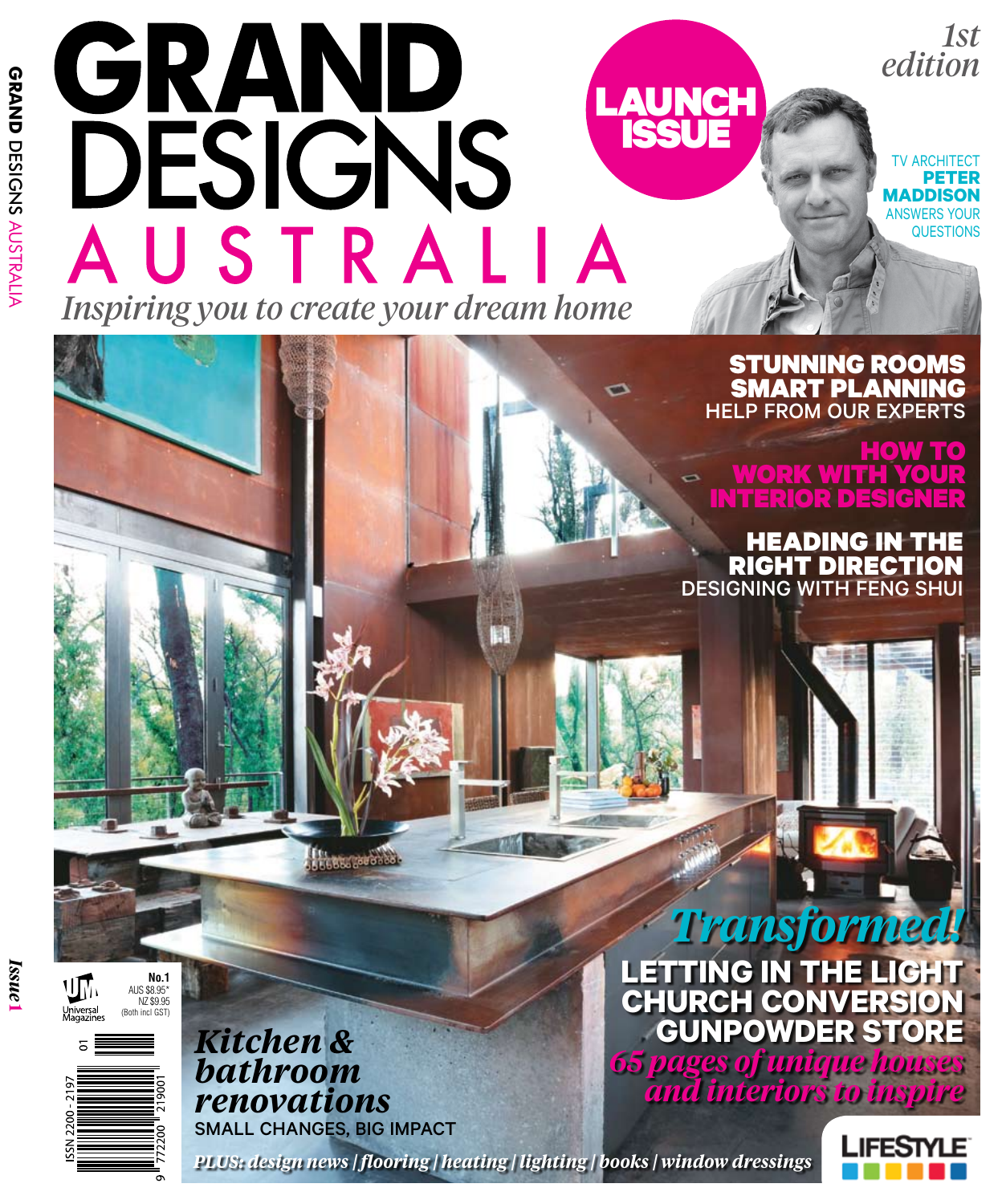## GRAND **LAUNCH** DESIGNS ISSUE AUSTRALIA *Inspiring you to create your dream home*

## STUNNING Rooms Smart Planning help from our experts

o

TV ARCHITECT **Peter Maddison**  answers your **QUESTIONS** 

*edition*

*1st*

## how to work with your interior designer

Heading in the right direction designing with feng shui

*Issue* **1**







*Kitchen & bathroom renovations*  Small changes, BIG impact

**LEBBL LABOROS** 

*Transformed!* **letting in the light Church conversion Gunpowder store** *65 pages of unique houses and interiors to inspire* 

*PLUS: design news | flooring | heating | lighting | books | window dressings*